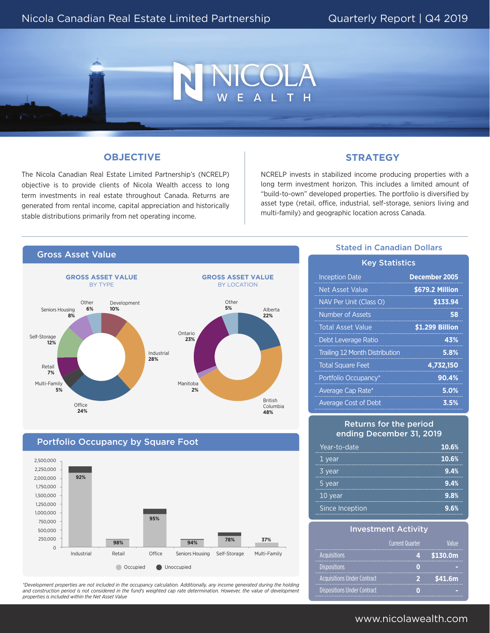## **OBJECTIVE**

The Nicola Canadian Real Estate Limited Partnership's (NCRELP) objective is to provide clients of Nicola Wealth access to long term investments in real estate throughout Canada. Returns are generated from rental income, capital appreciation and historically stable distributions primarily from net operating income.

### **STRATEGY**

COLA

NCRELP invests in stabilized income producing properties with a long term investment horizon. This includes a limited amount of "build-to-own" developed properties. The portfolio is diversified by asset type (retail, office, industrial, self-storage, seniors living and multi-family) and geographic location across Canada.



#### Portfolio Occupancy by Square Foot Industrial - 0 250,000 250,000 500,000 500,000 750,000 750,000 1,000,000 1,000,000 1,250,000 1,250,000 1,500,000 1,500,000 1,750,000 1,750,000 2,000,000 2,000,000 2,250,000 2,250,000 2,500,000 2,500,000 ndustrial Retail **Office Seniors Housing Self-Storage** Multi-Family **92%** Occupied Unoccupied **98% 95% 94% 78% 37%**

*\*Development properties are not included in the occupancy calculation. Additionally, any income generated during the holding*  and construction period is not considered in the fund's weighted cap rate determination. However, the value of development *properties is included within the Net Asset Value* 

## Stated in Canadian Dollars

| <b>Key Statistics</b>                 |                      |  |  |
|---------------------------------------|----------------------|--|--|
| <b>Inception Date</b>                 | <b>December 2005</b> |  |  |
| Net Asset Value                       | \$679.2 Million      |  |  |
| NAV Per Unit (Class O)                | \$133.94             |  |  |
| <b>Number of Assets</b>               | 58                   |  |  |
| <b>Total Asset Value</b>              | \$1.299 Billion      |  |  |
| Debt Leverage Ratio                   | 43%                  |  |  |
| <b>Trailing 12 Month Distribution</b> | 5.8%                 |  |  |
| <b>Total Square Feet</b>              | 4,732,150            |  |  |
| Portfolio Occupancy*                  | 90.4%                |  |  |
| Average Cap Rate*                     | 5.0%                 |  |  |
| <b>Average Cost of Debt</b>           | 3.5%                 |  |  |

#### Returns for the period ending December 31, 2019

|  | Year-to-date    | 10.6% |
|--|-----------------|-------|
|  | 1 year          | 10.6% |
|  | 3 year          | 9.4%  |
|  | 5 year          | 9.4%  |
|  | 10 year         | 9.8%  |
|  | Since Inception | 9.6%  |

#### Investment Activity

|                                    | <b>Current Quarter</b> |                      |
|------------------------------------|------------------------|----------------------|
| <b>Acquisitions</b>                |                        | \$130.0 <sub>m</sub> |
| <b>Dispositions</b>                |                        |                      |
| <b>Acquisitions Under Contract</b> |                        | \$41.6m              |
| <b>Dispositions Under Contract</b> |                        |                      |

## www.nicolawealth.com